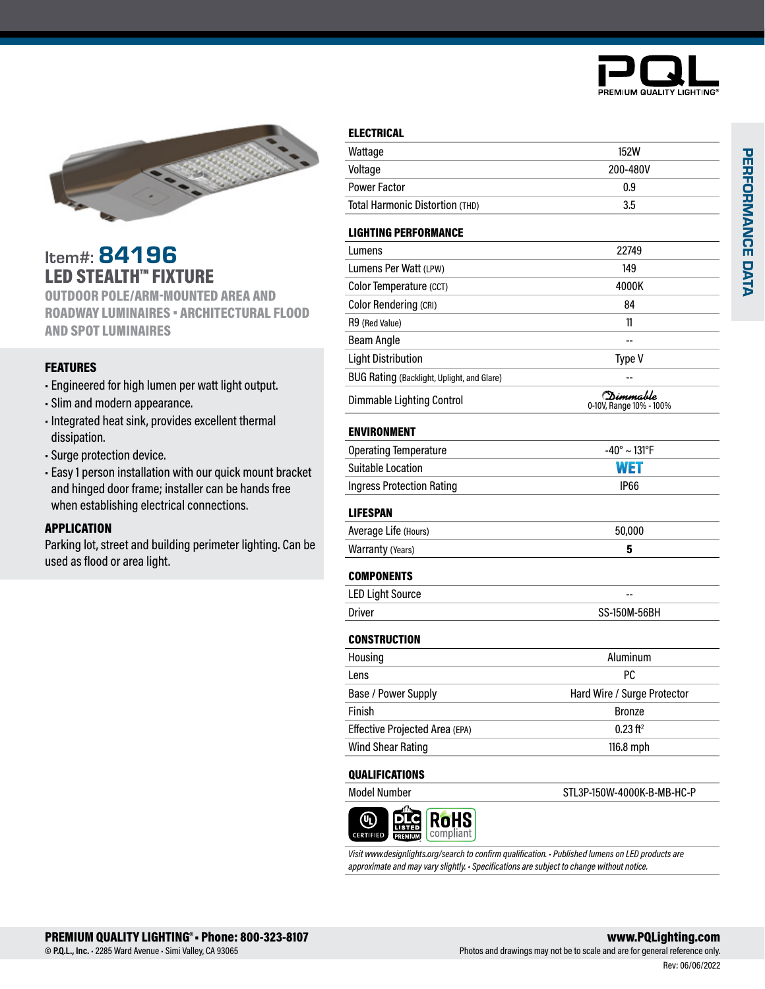



## Item#: 84196 LED STEALTH™ FIXTURE

OUTDOOR POLE/ARM-MOUNTED AREA AND ROADWAY LUMINAIRES • ARCHITECTURAL FLOOD AND SPOT LUMINAIRES

### FEATURES

- Engineered for high lumen per watt light output.
- Slim and modern appearance.
- Integrated heat sink, provides excellent thermal dissipation.
- Surge protection device.
- Easy 1 person installation with our quick mount bracket and hinged door frame; installer can be hands free when establishing electrical connections.

### APPLICATION

Parking lot, street and building perimeter lighting. Can be used as flood or area light.

### ELECTRICAL

| Wattage                                    | <b>152W</b>                                   |
|--------------------------------------------|-----------------------------------------------|
| Voltage                                    | 200-480V                                      |
| <b>Power Factor</b>                        | 0.9                                           |
| Total Harmonic Distortion (THD)            | 3.5                                           |
| <b>LIGHTING PERFORMANCE</b>                |                                               |
| Lumens                                     | 22749                                         |
| Lumens Per Watt (LPW)                      | 149                                           |
| Color Temperature (CCT)                    | 4000K                                         |
| <b>Color Rendering (CRI)</b>               | 84                                            |
| R9 (Red Value)                             | 11                                            |
| <b>Beam Angle</b>                          |                                               |
| <b>Light Distribution</b>                  | Type V                                        |
| BUG Rating (Backlight, Uplight, and Glare) |                                               |
| <b>Dimmable Lighting Control</b>           | (D <i>imma</i> ble<br>0-10V, Range 10% - 100% |
| <b>ENVIRONMENT</b>                         |                                               |
| <b>Operating Temperature</b>               | $-40^{\circ} \sim 131^{\circ}F$               |
| <b>Suitable Location</b>                   | WET                                           |
| <b>Ingress Protection Rating</b>           | <b>IP66</b>                                   |
| <b>LIFESPAN</b>                            |                                               |
| Average Life (Hours)                       | 50,000                                        |
| Warranty (Years)                           | 5                                             |
| <b>COMPONENTS</b>                          |                                               |
| <b>LED Light Source</b>                    |                                               |
| Driver                                     | <b>SS-150M-56BH</b>                           |
| <b>CONSTRUCTION</b>                        |                                               |
| Housing                                    | Aluminum                                      |
| Lens                                       | PC                                            |
| Base / Power Supply<br>. .                 | Hard Wire / Surge Protector                   |
| Finish                                     | <b>Bronze</b>                                 |
| Effective Projected Area (EPA)             | $0.23$ ft <sup>2</sup>                        |
| <b>Wind Shear Rating</b>                   | 116.8 mph                                     |
| <b>QUALIFICATIONS</b>                      |                                               |
| <b>Model Number</b>                        | STL3P-150W-4000K-B-MB-HC-P                    |

*Visit www.designlights.org/search to confirm qualification. • Published lumens on LED products are approximate and may vary slightly. • Specifications are subject to change without notice.*

**RoHS** compliant

**CERTIFIEI**